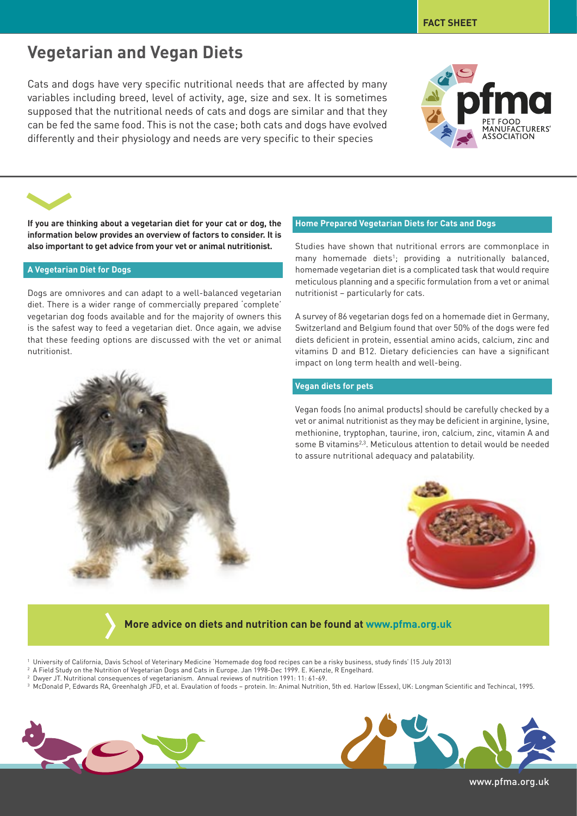# **Vegetarian and Vegan Diets**

Cats and dogs have very specific nutritional needs that are affected by many variables including breed, level of activity, age, size and sex. It is sometimes supposed that the nutritional needs of cats and dogs are similar and that they can be fed the same food. This is not the case; both cats and dogs have evolved differently and their physiology and needs are very specific to their species



**FACT SHEET**

**If you are thinking about a vegetarian diet for your cat or dog, the information below provides an overview of factors to consider. It is also important to get advice from your vet or animal nutritionist.**

### **A Vegetarian Diet for Dogs**

Dogs are omnivores and can adapt to a well-balanced vegetarian diet. There is a wider range of commercially prepared 'complete' vegetarian dog foods available and for the majority of owners this is the safest way to feed a vegetarian diet. Once again, we advise that these feeding options are discussed with the vet or animal nutritionist.

## **Home Prepared Vegetarian Diets for Cats and Dogs**

Studies have shown that nutritional errors are commonplace in many homemade diets<sup>1</sup>; providing a nutritionally balanced, homemade vegetarian diet is a complicated task that would require meticulous planning and a specific formulation from a vet or animal nutritionist – particularly for cats.

A survey of 86 vegetarian dogs fed on a homemade diet in Germany, Switzerland and Belgium found that over 50% of the dogs were fed diets deficient in protein, essential amino acids, calcium, zinc and vitamins D and B12. Dietary deficiencies can have a significant impact on long term health and well-being.

## **Vegan diets for pets**

Vegan foods (no animal products) should be carefully checked by a vet or animal nutritionist as they may be deficient in arginine, lysine, methionine, tryptophan, taurine, iron, calcium, zinc, vitamin A and some B vitamins2,3. Meticulous attention to detail would be needed to assure nutritional adequacy and palatability.



# **More advice on diets and nutrition can be found at www.pfma.org.uk**

- <sup>1</sup> University of California, Davis School of Veterinary Medicine 'Homemade dog food recipes can be a risky business, study finds' (15 July 2013)
- <sup>2</sup> A Field Study on the Nutrition of Vegetarian Dogs and Cats in Europe. Jan 1998-Dec 1999. E. Kienzle, R Engelhard.
- <sup>2</sup> Dwyer JT. Nutritional consequences of vegetarianism. Annual reviews of nutrition 1991: 11: 61-69.
- <sup>3</sup> McDonald P, Edwards RA, Greenhalgh JFD, et al. Evaulation of foods protein. In: Animal Nutrition, 5th ed. Harlow (Essex), UK: Longman Scientific and Techincal, 1995.



www.pfma.org.uk